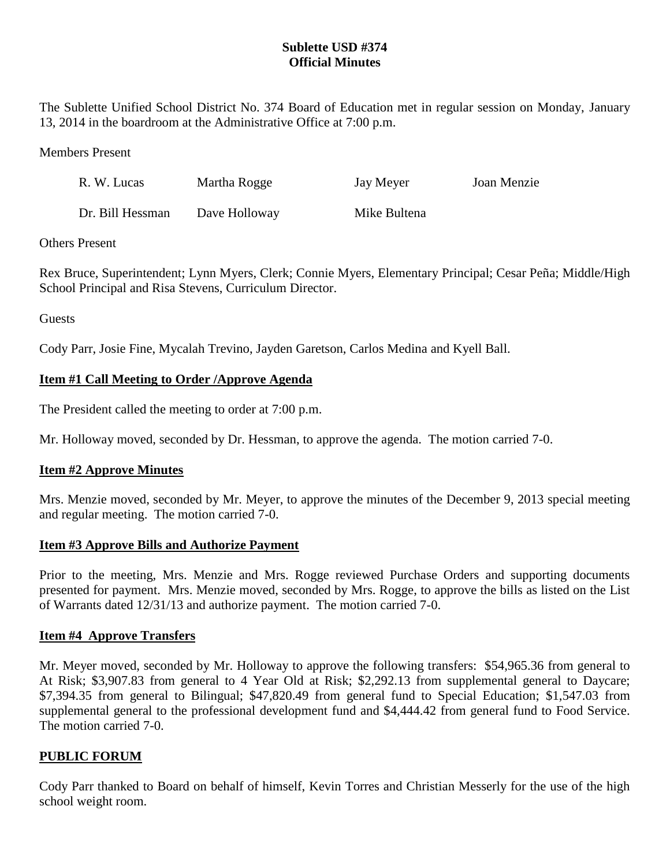## **Sublette USD #374 Official Minutes**

The Sublette Unified School District No. 374 Board of Education met in regular session on Monday, January 13, 2014 in the boardroom at the Administrative Office at 7:00 p.m.

Members Present

| R. W. Lucas      | Martha Rogge  | Jay Meyer    | Joan Menzie |
|------------------|---------------|--------------|-------------|
| Dr. Bill Hessman | Dave Holloway | Mike Bultena |             |

Others Present

Rex Bruce, Superintendent; Lynn Myers, Clerk; Connie Myers, Elementary Principal; Cesar Peña; Middle/High School Principal and Risa Stevens, Curriculum Director.

Guests

Cody Parr, Josie Fine, Mycalah Trevino, Jayden Garetson, Carlos Medina and Kyell Ball.

# **Item #1 Call Meeting to Order /Approve Agenda**

The President called the meeting to order at 7:00 p.m.

Mr. Holloway moved, seconded by Dr. Hessman, to approve the agenda. The motion carried 7-0.

## **Item #2 Approve Minutes**

Mrs. Menzie moved, seconded by Mr. Meyer, to approve the minutes of the December 9, 2013 special meeting and regular meeting. The motion carried 7-0.

## **Item #3 Approve Bills and Authorize Payment**

Prior to the meeting, Mrs. Menzie and Mrs. Rogge reviewed Purchase Orders and supporting documents presented for payment. Mrs. Menzie moved, seconded by Mrs. Rogge, to approve the bills as listed on the List of Warrants dated 12/31/13 and authorize payment. The motion carried 7-0.

## **Item #4 Approve Transfers**

Mr. Meyer moved, seconded by Mr. Holloway to approve the following transfers: \$54,965.36 from general to At Risk; \$3,907.83 from general to 4 Year Old at Risk; \$2,292.13 from supplemental general to Daycare; \$7,394.35 from general to Bilingual; \$47,820.49 from general fund to Special Education; \$1,547.03 from supplemental general to the professional development fund and \$4,444.42 from general fund to Food Service. The motion carried 7-0.

## **PUBLIC FORUM**

Cody Parr thanked to Board on behalf of himself, Kevin Torres and Christian Messerly for the use of the high school weight room.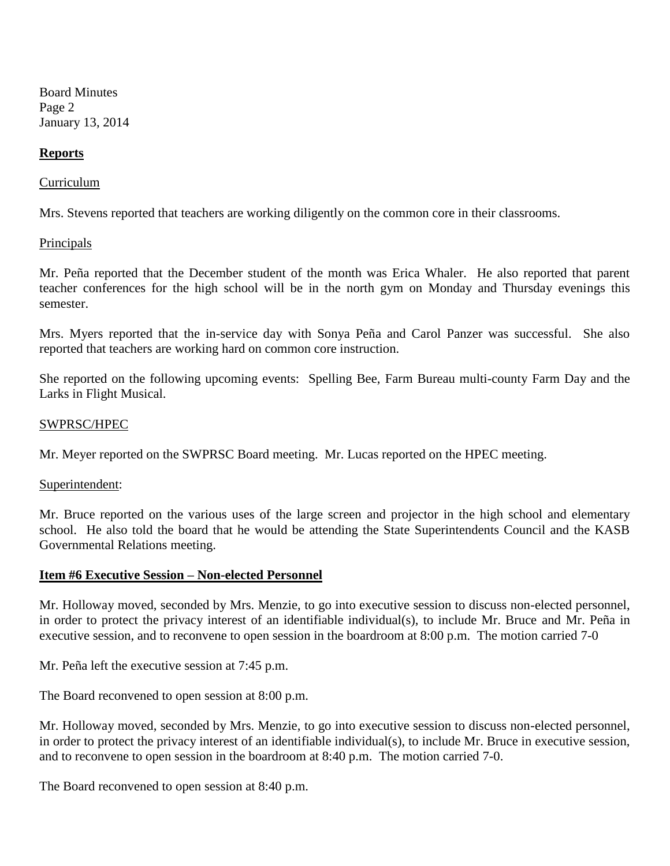Board Minutes Page 2 January 13, 2014

## **Reports**

### Curriculum

Mrs. Stevens reported that teachers are working diligently on the common core in their classrooms.

### **Principals**

Mr. Peña reported that the December student of the month was Erica Whaler. He also reported that parent teacher conferences for the high school will be in the north gym on Monday and Thursday evenings this semester.

Mrs. Myers reported that the in-service day with Sonya Peña and Carol Panzer was successful. She also reported that teachers are working hard on common core instruction.

She reported on the following upcoming events: Spelling Bee, Farm Bureau multi-county Farm Day and the Larks in Flight Musical.

### SWPRSC/HPEC

Mr. Meyer reported on the SWPRSC Board meeting. Mr. Lucas reported on the HPEC meeting.

Superintendent:

Mr. Bruce reported on the various uses of the large screen and projector in the high school and elementary school. He also told the board that he would be attending the State Superintendents Council and the KASB Governmental Relations meeting.

#### **Item #6 Executive Session – Non-elected Personnel**

Mr. Holloway moved, seconded by Mrs. Menzie, to go into executive session to discuss non-elected personnel, in order to protect the privacy interest of an identifiable individual(s), to include Mr. Bruce and Mr. Peña in executive session, and to reconvene to open session in the boardroom at 8:00 p.m. The motion carried 7-0

Mr. Peña left the executive session at 7:45 p.m.

The Board reconvened to open session at 8:00 p.m.

Mr. Holloway moved, seconded by Mrs. Menzie, to go into executive session to discuss non-elected personnel, in order to protect the privacy interest of an identifiable individual(s), to include Mr. Bruce in executive session, and to reconvene to open session in the boardroom at 8:40 p.m. The motion carried 7-0.

The Board reconvened to open session at 8:40 p.m.